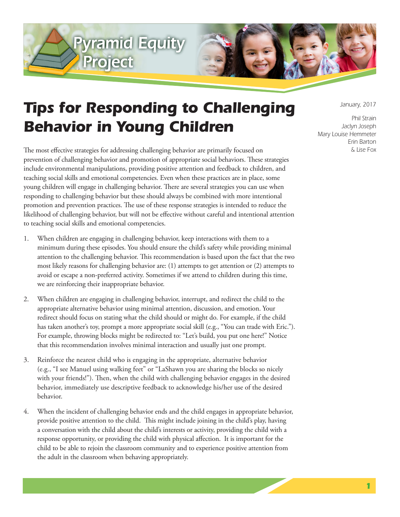



## *Tips for Responding to Challenging Behavior in Young Children*

The most effective strategies for addressing challenging behavior are primarily focused on prevention of challenging behavior and promotion of appropriate social behaviors. These strategies include environmental manipulations, providing positive attention and feedback to children, and teaching social skills and emotional competencies. Even when these practices are in place, some young children will engage in challenging behavior. There are several strategies you can use when responding to challenging behavior but these should always be combined with more intentional promotion and prevention practices. The use of these response strategies is intended to reduce the likelihood of challenging behavior, but will not be effective without careful and intentional attention to teaching social skills and emotional competencies.

- 1. When children are engaging in challenging behavior, keep interactions with them to a minimum during these episodes. You should ensure the child's safety while providing minimal attention to the challenging behavior. This recommendation is based upon the fact that the two most likely reasons for challenging behavior are: (1) attempts to get attention or (2) attempts to avoid or escape a non-preferred activity. Sometimes if we attend to children during this time, we are reinforcing their inappropriate behavior.
- 2. When children are engaging in challenging behavior, interrupt, and redirect the child to the appropriate alternative behavior using minimal attention, discussion, and emotion. Your redirect should focus on stating what the child should or might do. For example, if the child has taken another's toy, prompt a more appropriate social skill (e.g., "You can trade with Eric."). For example, throwing blocks might be redirected to: "Let's build, you put one here!" Notice that this recommendation involves minimal interaction and usually just one prompt.
- 3. Reinforce the nearest child who is engaging in the appropriate, alternative behavior (e.g., "I see Manuel using walking feet" or "LaShawn you are sharing the blocks so nicely with your friends!"). Then, when the child with challenging behavior engages in the desired behavior, immediately use descriptive feedback to acknowledge his/her use of the desired behavior.
- 4. When the incident of challenging behavior ends and the child engages in appropriate behavior, provide positive attention to the child. This might include joining in the child's play, having a conversation with the child about the child's interests or activity, providing the child with a response opportunity, or providing the child with physical affection. It is important for the child to be able to rejoin the classroom community and to experience positive attention from the adult in the classroom when behaving appropriately.

*January, 2017*

*Phil Strain Jaclyn Joseph Mary Louise Hemmeter Erin Barton & Lise Fox*